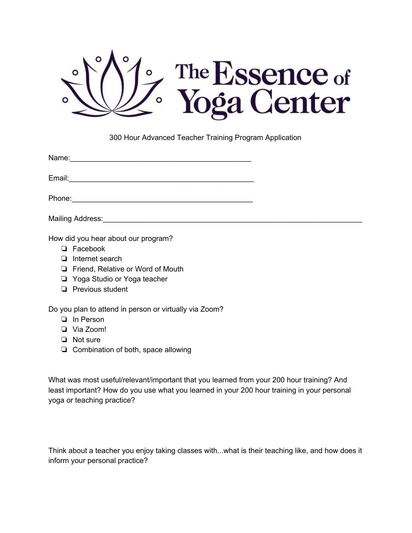

300 Hour Advanced Teacher Training Program Application

Email:

Phone:\_\_\_\_\_\_\_\_\_\_\_\_\_\_\_\_\_\_\_\_\_\_\_\_\_\_\_\_\_\_\_\_\_\_\_\_\_\_\_\_\_\_\_\_

Mailing Address:

How did you hear about our program?

- ❏ Facebook
- ❏ Internet search
- ❏ Friend, Relative or Word of Mouth
- ❏ Yoga Studio or Yoga teacher
- ❏ Previous student

Do you plan to attend in person or virtually via Zoom?

- ❏ In Person
- ❏ Via Zoom!
- ❏ Not sure
- ❏ Combination of both, space allowing

What was most useful/relevant/important that you learned from your 200 hour training? And least important? How do you use what you learned in your 200 hour training in your personal yoga or teaching practice?

Think about a teacher you enjoy taking classes with...what is their teaching like, and how does it inform your personal practice?